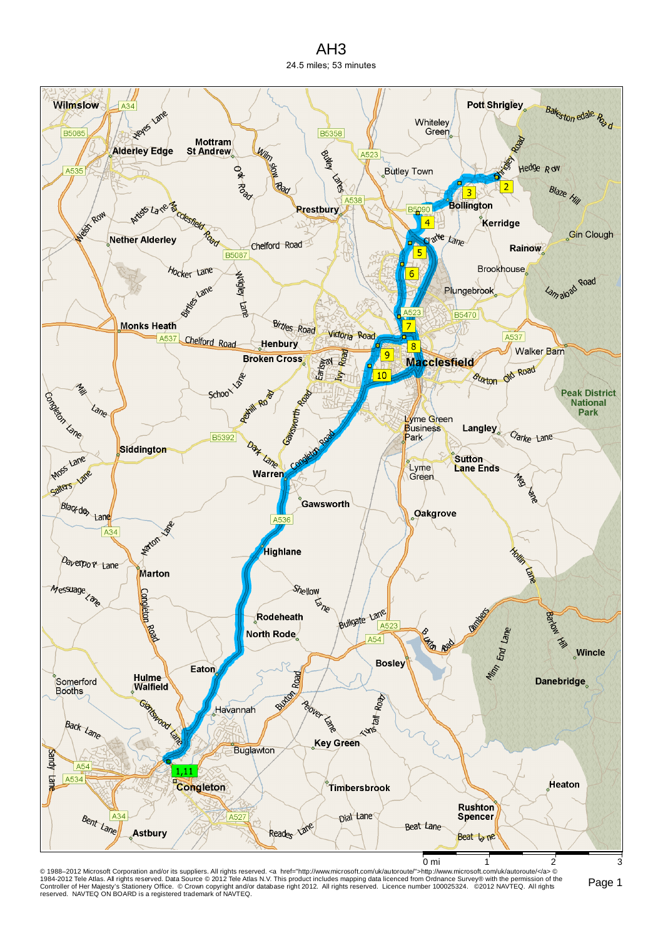## AH3 24.5 miles; 53 minutes



© 1988–2012 Microsoft Corporation and/or its suppliers. All rights reserved. ⊲a href="http://www.microsoft.com/uk/autoroute">http://www.microsoft.com/uk/autoroute/⊲a> ©<br>1984-2012 Tele Atlas. All rights reserved. Data Sour reserved. NAVTEQ ON BOARD is a registered trademark of NAVTEQ.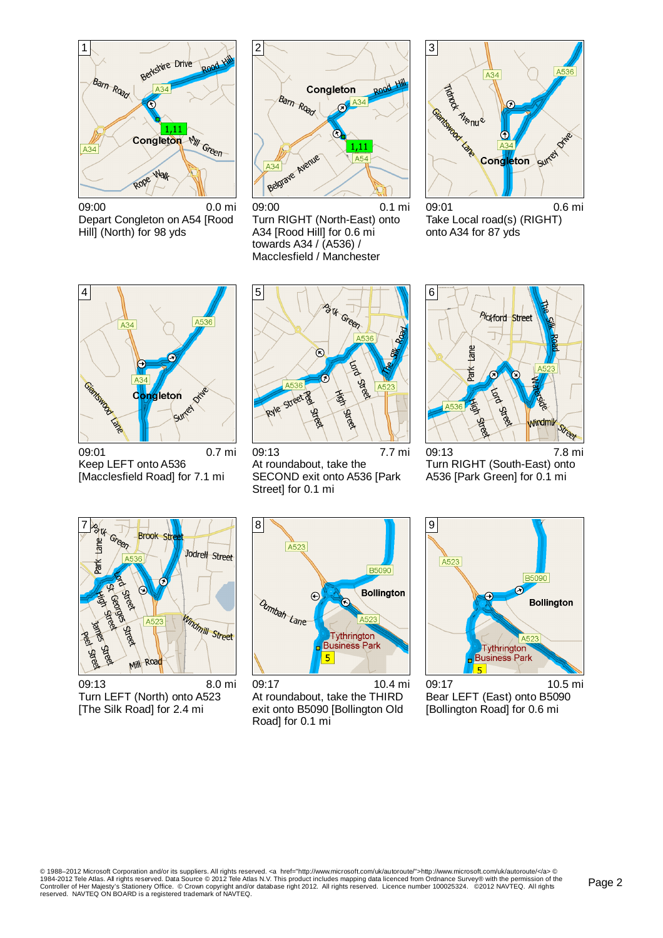

09:00 0.0 mi Depart Congleton on A54 [Rood Hill] (North) for 98 yds



09:00 0.1 mi Turn RIGHT (North-East) onto A34 [Rood Hill] for 0.6 mi towards A34 / (A536) / Macclesfield / Manchester



09:01 0.6 mi Take Local road(s) (RIGHT) onto A34 for 87 yds



09:01 0.7 mi Keep LEFT onto A536 [Macclesfield Road] for 7.1 mi



09:13 7.7 mi At roundabout, take the SECOND exit onto A536 [Park Street] for 0.1 mi



09:13 7.8 mi Turn RIGHT (South-East) onto A536 [Park Green] for 0.1 mi



09:13 8.0 mi Turn LEFT (North) onto A523 [The Silk Road] for 2.4 mi



09:17 10.4 mi At roundabout, take the THIRD exit onto B5090 [Bollington Old Road] for 0.1 mi



09:17 10.5 mi Bear LEFT (East) onto B5090 [Bollington Road] for 0.6 mi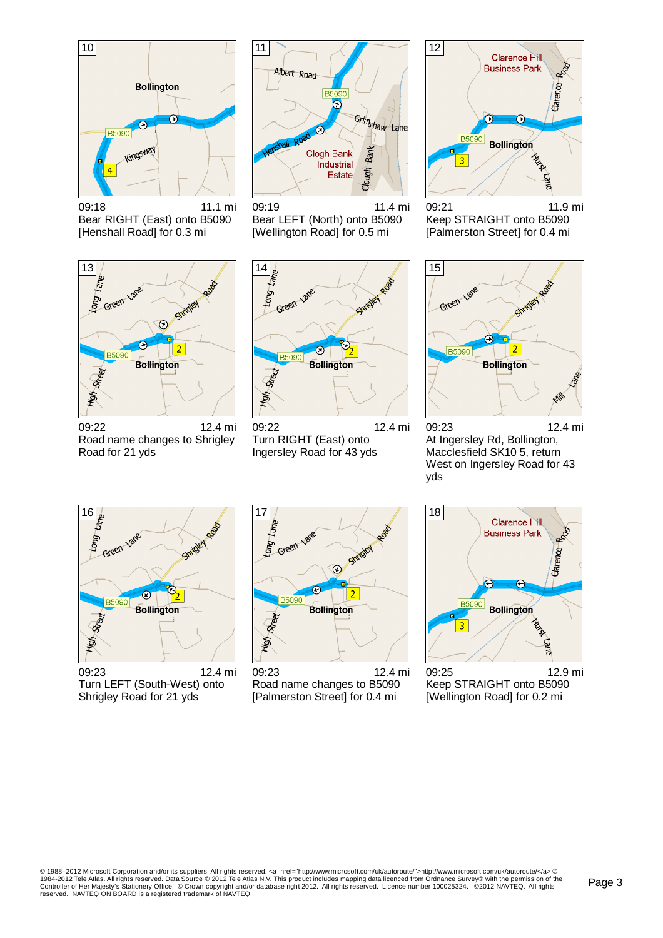

09:18 11.1 mi Bear RIGHT (East) onto B5090 [Henshall Road] for 0.3 mi



09:19 11.4 mi Bear LEFT (North) onto B5090 [Wellington Road] for 0.5 mi



09:21 11.9 mi Keep STRAIGHT onto B5090 [Palmerston Street] for 0.4 mi



09:22 12.4 mi Road name changes to Shrigley Road for 21 yds



09:22 12.4 mi Turn RIGHT (East) onto Ingersley Road for 43 yds



09:23 12.4 mi At Ingersley Rd, Bollington, Macclesfield SK10 5, return West on Ingersley Road for 43 yds



09:23 12.4 mi Turn LEFT (South-West) onto Shrigley Road for 21 yds



09:23 12.4 mi Road name changes to B5090 [Palmerston Street] for 0.4 mi



09:25 12.9 mi Keep STRAIGHT onto B5090 [Wellington Road] for 0.2 mi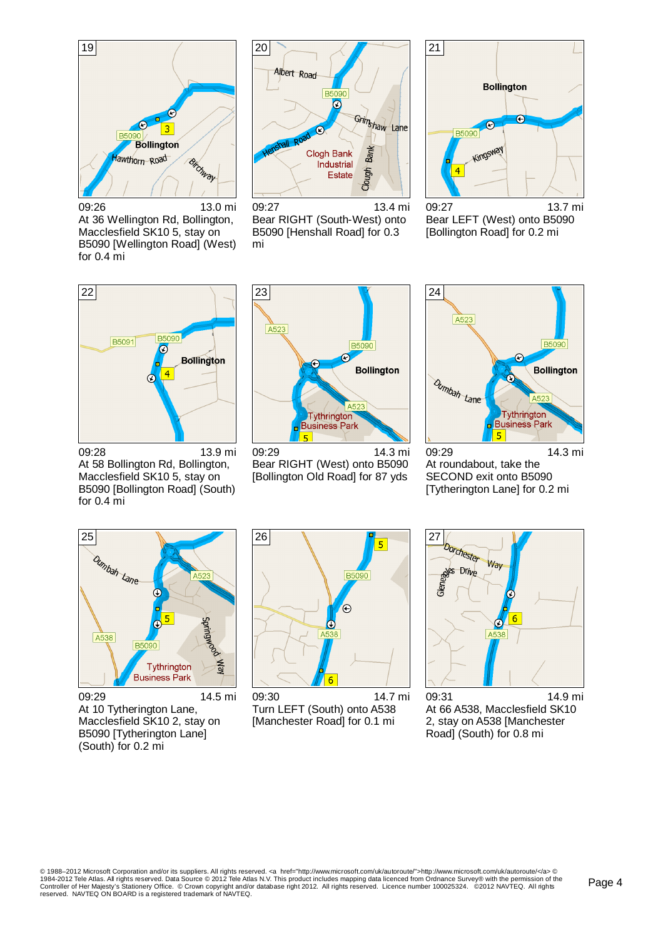

09:26 13.0 mi At 36 Wellington Rd, Bollington, Macclesfield SK10 5, stay on B5090 [Wellington Road] (West) for 0.4 mi



09:27 13.4 mi Bear RIGHT (South-West) onto B5090 [Henshall Road] for 0.3 mi

![](_page_3_Figure_4.jpeg)

09:27 13.7 mi Bear LEFT (West) onto B5090 [Bollington Road] for 0.2 mi

![](_page_3_Figure_6.jpeg)

09:28 13.9 mi At 58 Bollington Rd, Bollington, Macclesfield SK10 5, stay on B5090 [Bollington Road] (South) for 0.4 mi

![](_page_3_Picture_8.jpeg)

09:29 14.3 mi Bear RIGHT (West) onto B5090 [Bollington Old Road] for 87 yds

![](_page_3_Figure_10.jpeg)

09:29 14.3 mi At roundabout, take the SECOND exit onto B5090 [Tytherington Lane] for 0.2 mi

![](_page_3_Figure_12.jpeg)

09:29 14.5 mi At 10 Tytherington Lane, Macclesfield SK10 2, stay on B5090 [Tytherington Lane] (South) for 0.2 mi

![](_page_3_Picture_14.jpeg)

09:30 14.7 mi Turn LEFT (South) onto A538 [Manchester Road] for 0.1 mi

![](_page_3_Figure_16.jpeg)

09:31 14.9 mi At 66 A538, Macclesfield SK10 2, stay on A538 [Manchester Road] (South) for 0.8 mi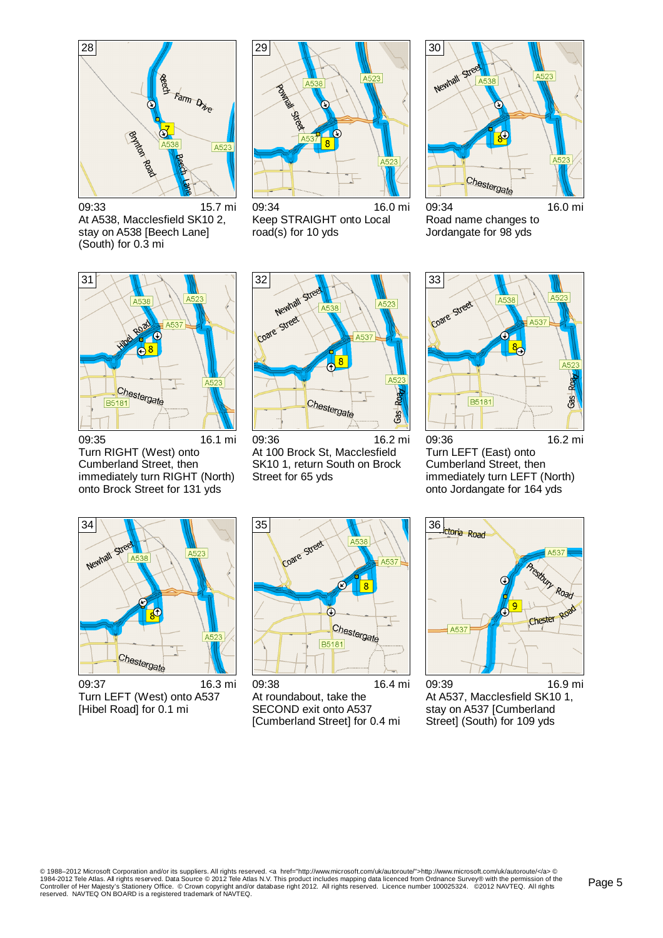![](_page_4_Figure_0.jpeg)

09:33 15.7 mi At A538, Macclesfield SK10 2, stay on A538 [Beech Lane] (South) for 0.3 mi

![](_page_4_Figure_2.jpeg)

09:34 16.0 mi Keep STRAIGHT onto Local road(s) for 10 yds

![](_page_4_Figure_4.jpeg)

09:34 16.0 mi Road name changes to Jordangate for 98 yds

![](_page_4_Figure_6.jpeg)

09:35 16.1 mi Turn RIGHT (West) onto Cumberland Street, then immediately turn RIGHT (North) onto Brock Street for 131 yds

![](_page_4_Figure_8.jpeg)

09:36 16.2 mi At 100 Brock St, Macclesfield SK10 1, return South on Brock Street for 65 yds

![](_page_4_Figure_10.jpeg)

09:36 16.2 mi Turn LEFT (East) onto Cumberland Street, then immediately turn LEFT (North) onto Jordangate for 164 yds

![](_page_4_Figure_12.jpeg)

09:37 16.3 mi Turn LEFT (West) onto A537 [Hibel Road] for 0.1 mi

![](_page_4_Figure_14.jpeg)

09:38 16.4 mi At roundabout, take the SECOND exit onto A537 [Cumberland Street] for 0.4 mi

![](_page_4_Figure_16.jpeg)

09:39 16.9 mi At A537, Macclesfield SK10 1, stay on A537 [Cumberland Street] (South) for 109 yds